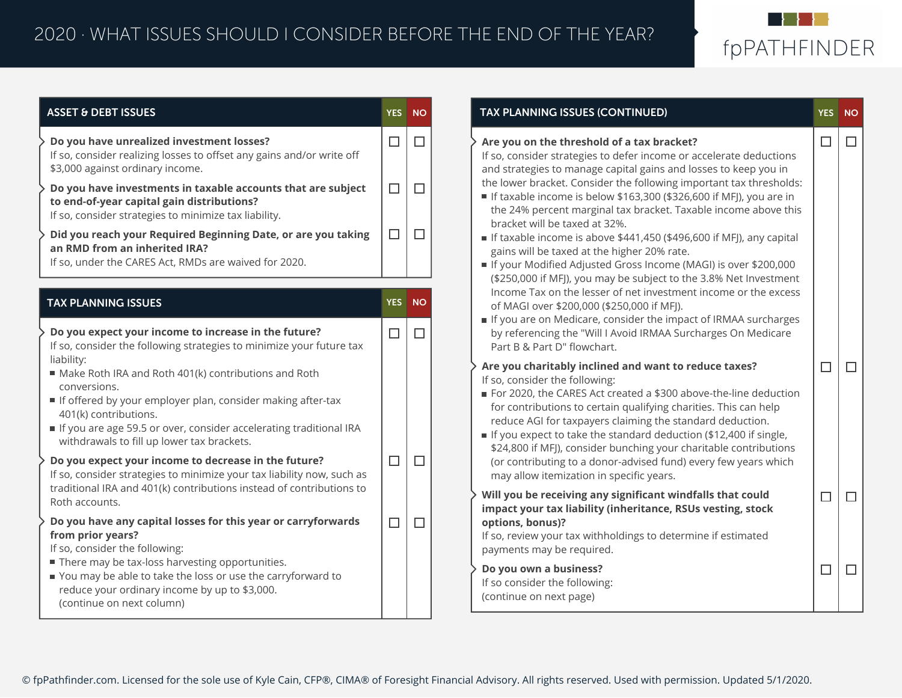

| <b>ASSET &amp; DEBT ISSUES</b>                                                                                                                                                                                                                                                                                         | <b>YES</b> | <b>NO</b> | <b>TAX PLANNING ISSUES (C</b>                                                                                                                                                                           |
|------------------------------------------------------------------------------------------------------------------------------------------------------------------------------------------------------------------------------------------------------------------------------------------------------------------------|------------|-----------|---------------------------------------------------------------------------------------------------------------------------------------------------------------------------------------------------------|
| Do you have unrealized investment losses?<br>If so, consider realizing losses to offset any gains and/or write off<br>\$3,000 against ordinary income.                                                                                                                                                                 | $\Box$     | $\Box$    | Are you on the threshold<br>If so, consider strategies t<br>and strategies to manage                                                                                                                    |
| Do you have investments in taxable accounts that are subject<br>to end-of-year capital gain distributions?<br>If so, consider strategies to minimize tax liability.                                                                                                                                                    | $\Box$     | $\Box$    | the lower bracket. Consid<br>If taxable income is belo<br>the 24% percent margin                                                                                                                        |
| $\Box$<br>Did you reach your Required Beginning Date, or are you taking<br>an RMD from an inherited IRA?<br>If so, under the CARES Act, RMDs are waived for 2020.                                                                                                                                                      |            | $\Box$    | bracket will be taxed at<br>If taxable income is abo<br>gains will be taxed at the<br>If your Modified Adjuste                                                                                          |
|                                                                                                                                                                                                                                                                                                                        |            |           | (\$250,000 if MFJ), you m<br>Income Tax on the lesse                                                                                                                                                    |
| <b>TAX PLANNING ISSUES</b>                                                                                                                                                                                                                                                                                             | <b>YES</b> | <b>NO</b> | of MAGI over \$200,000 (                                                                                                                                                                                |
| Do you expect your income to increase in the future?<br>If so, consider the following strategies to minimize your future tax                                                                                                                                                                                           | $\Box$     | $\Box$    | If you are on Medicare,<br>by referencing the "Will<br>Part B & Part D" flowcha                                                                                                                         |
| liability:<br>Make Roth IRA and Roth 401(k) contributions and Roth<br>conversions.<br>If offered by your employer plan, consider making after-tax<br>401(k) contributions.<br>If you are age 59.5 or over, consider accelerating traditional IRA<br>withdrawals to fill up lower tax brackets.                         |            |           | Are you charitably inclin<br>If so, consider the followir<br>For 2020, the CARES Act<br>for contributions to cert<br>reduce AGI for taxpayer<br>If you expect to take the<br>\$24,800 if MFJ), consider |
| Do you expect your income to decrease in the future?<br>If so, consider strategies to minimize your tax liability now, such as<br>traditional IRA and 401(k) contributions instead of contributions to                                                                                                                 |            | $\Box$    | (or contributing to a dor<br>may allow itemization in                                                                                                                                                   |
| Roth accounts.                                                                                                                                                                                                                                                                                                         |            |           | Will you be receiving any                                                                                                                                                                               |
| Do you have any capital losses for this year or carryforwards<br>from prior years?<br>If so, consider the following:<br>There may be tax-loss harvesting opportunities.<br>■ You may be able to take the loss or use the carryforward to<br>reduce your ordinary income by up to \$3,000.<br>(continue on next column) |            | $\Box$    | impact your tax liability<br>options, bonus)?<br>If so, review your tax with<br>payments may be require<br>Do you own a business?<br>If so consider the followin                                        |

| <b>TAX PLANNING ISSUES (CONTINUED)</b>                                                                                                                                                                                                                                                                                                                                                                                                                                                                                                                                                                                                                                                                                                                                                                                                                                                                                                                                                     | <b>YES</b> | <b>NO</b> |
|--------------------------------------------------------------------------------------------------------------------------------------------------------------------------------------------------------------------------------------------------------------------------------------------------------------------------------------------------------------------------------------------------------------------------------------------------------------------------------------------------------------------------------------------------------------------------------------------------------------------------------------------------------------------------------------------------------------------------------------------------------------------------------------------------------------------------------------------------------------------------------------------------------------------------------------------------------------------------------------------|------------|-----------|
| Are you on the threshold of a tax bracket?<br>If so, consider strategies to defer income or accelerate deductions<br>and strategies to manage capital gains and losses to keep you in<br>the lower bracket. Consider the following important tax thresholds:<br>If taxable income is below \$163,300 (\$326,600 if MFJ), you are in<br>the 24% percent marginal tax bracket. Taxable income above this<br>bracket will be taxed at 32%.<br>If taxable income is above \$441,450 (\$496,600 if MFJ), any capital<br>gains will be taxed at the higher 20% rate.<br>If your Modified Adjusted Gross Income (MAGI) is over \$200,000<br>(\$250,000 if MFJ), you may be subject to the 3.8% Net Investment<br>Income Tax on the lesser of net investment income or the excess<br>of MAGI over \$200,000 (\$250,000 if MFJ).<br>If you are on Medicare, consider the impact of IRMAA surcharges<br>by referencing the "Will I Avoid IRMAA Surcharges On Medicare<br>Part B & Part D" flowchart. | П          | H         |
| Are you charitably inclined and want to reduce taxes?<br>If so, consider the following:<br>For 2020, the CARES Act created a \$300 above-the-line deduction<br>for contributions to certain qualifying charities. This can help<br>reduce AGI for taxpayers claiming the standard deduction.<br>If you expect to take the standard deduction (\$12,400 if single,<br>\$24,800 if MFJ), consider bunching your charitable contributions<br>(or contributing to a donor-advised fund) every few years which<br>may allow itemization in specific years.                                                                                                                                                                                                                                                                                                                                                                                                                                      | п          | П         |
| Will you be receiving any significant windfalls that could<br>impact your tax liability (inheritance, RSUs vesting, stock<br>options, bonus)?<br>If so, review your tax withholdings to determine if estimated<br>payments may be required.                                                                                                                                                                                                                                                                                                                                                                                                                                                                                                                                                                                                                                                                                                                                                | ┑          |           |
| Do you own a business?<br>If so consider the following:<br>(continue on next page)                                                                                                                                                                                                                                                                                                                                                                                                                                                                                                                                                                                                                                                                                                                                                                                                                                                                                                         | $\Box$     |           |